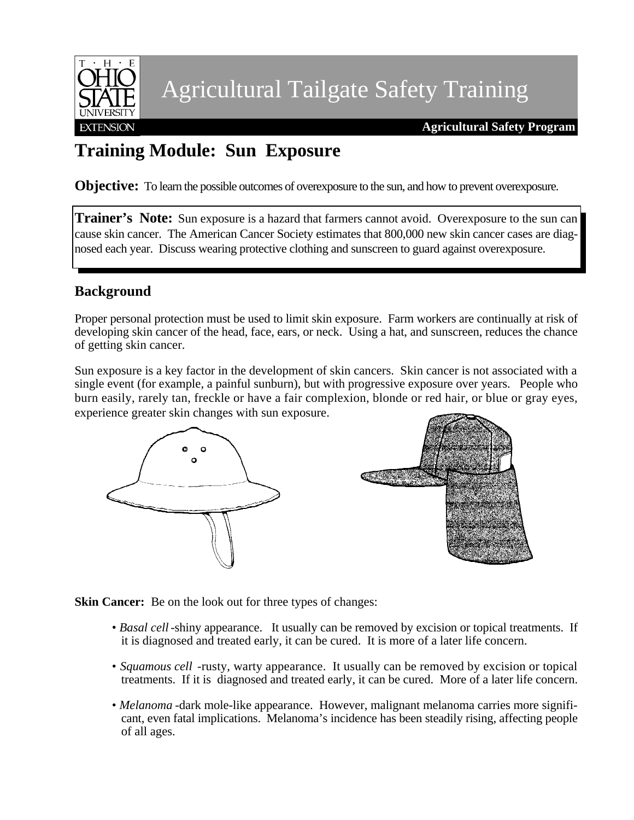

Agricultural Tailgate Safety Training

**Agricultural Safety Program**

## **Training Module: Sun Exposure**

**Objective:** To learn the possible outcomes of overexposure to the sun, and how to prevent overexposure.

**Trainer's Note:** Sun exposure is a hazard that farmers cannot avoid. Overexposure to the sun can cause skin cancer. The American Cancer Society estimates that 800,000 new skin cancer cases are diagnosed each year. Discuss wearing protective clothing and sunscreen to guard against overexposure.

### **Background**

Proper personal protection must be used to limit skin exposure. Farm workers are continually at risk of developing skin cancer of the head, face, ears, or neck. Using a hat, and sunscreen, reduces the chance of getting skin cancer.

Sun exposure is a key factor in the development of skin cancers. Skin cancer is not associated with a single event (for example, a painful sunburn), but with progressive exposure over years. People who burn easily, rarely tan, freckle or have a fair complexion, blonde or red hair, or blue or gray eyes, experience greater skin changes with sun exposure.





**Skin Cancer:** Be on the look out for three types of changes:

- *Basal cell* -shiny appearance. It usually can be removed by excision or topical treatments. If it is diagnosed and treated early, it can be cured. It is more of a later life concern.
- *Squamous cell* -rusty, warty appearance. It usually can be removed by excision or topical treatments. If it is diagnosed and treated early, it can be cured. More of a later life concern.
- • *Melanoma* -dark mole-like appearance. However, malignant melanoma carries more significant, even fatal implications. Melanoma's incidence has been steadily rising, affecting people of all ages.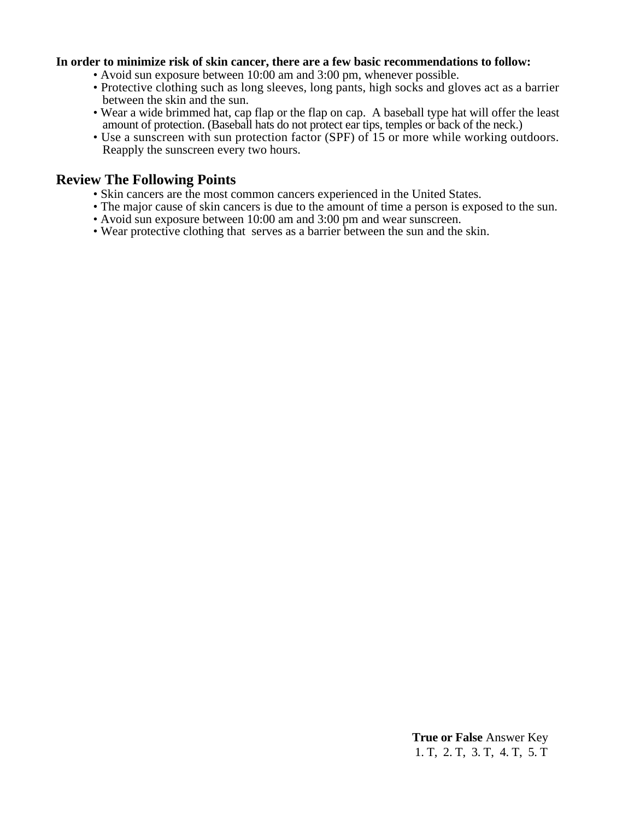#### **In order to minimize risk of skin cancer, there are a few basic recommendations to follow:**

- Avoid sun exposure between 10:00 am and 3:00 pm, whenever possible.
- Protective clothing such as long sleeves, long pants, high socks and gloves act as a barrier between the skin and the sun.
- Wear a wide brimmed hat, cap flap or the flap on cap. A baseball type hat will offer the least amount of protection. (Baseball hats do not protect ear tips, temples or back of the neck.)
- Use a sunscreen with sun protection factor (SPF) of 15 or more while working outdoors. Reapply the sunscreen every two hours.

#### **Review The Following Points**

- Skin cancers are the most common cancers experienced in the United States.
- The major cause of skin cancers is due to the amount of time a person is exposed to the sun.
- Avoid sun exposure between 10:00 am and 3:00 pm and wear sunscreen.
- Wear protective clothing that serves as a barrier between the sun and the skin.